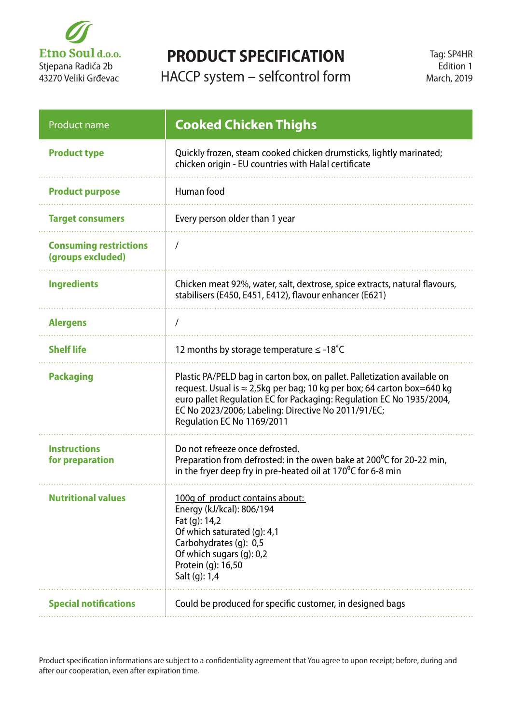

## **PRODUCT SPECIFICATION**

HACCP system – selfcontrol form

| <b>Product name</b>                                | <b>Cooked Chicken Thighs</b>                                                                                                                                                                                                                                                                                    |
|----------------------------------------------------|-----------------------------------------------------------------------------------------------------------------------------------------------------------------------------------------------------------------------------------------------------------------------------------------------------------------|
| <b>Product type</b>                                | Quickly frozen, steam cooked chicken drumsticks, lightly marinated;<br>chicken origin - EU countries with Halal certificate                                                                                                                                                                                     |
| <b>Product purpose</b>                             | Human food                                                                                                                                                                                                                                                                                                      |
| <b>Target consumers</b>                            | Every person older than 1 year                                                                                                                                                                                                                                                                                  |
| <b>Consuming restrictions</b><br>(groups excluded) | $\prime$                                                                                                                                                                                                                                                                                                        |
| <b>Ingredients</b>                                 | Chicken meat 92%, water, salt, dextrose, spice extracts, natural flavours,<br>stabilisers (E450, E451, E412), flavour enhancer (E621)                                                                                                                                                                           |
| <b>Alergens</b>                                    |                                                                                                                                                                                                                                                                                                                 |
| <b>Shelf life</b>                                  | 12 months by storage temperature $\leq$ -18°C                                                                                                                                                                                                                                                                   |
| <b>Packaging</b>                                   | Plastic PA/PELD bag in carton box, on pallet. Palletization available on<br>request. Usual is ≈ 2,5kg per bag; 10 kg per box; 64 carton box=640 kg<br>euro pallet Regulation EC for Packaging: Regulation EC No 1935/2004,<br>EC No 2023/2006; Labeling: Directive No 2011/91/EC;<br>Regulation EC No 1169/2011 |
| <b>Instructions</b><br>for preparation             | Do not refreeze once defrosted.<br>Preparation from defrosted: in the owen bake at $200^{\circ}$ C for 20-22 min,<br>in the fryer deep fry in pre-heated oil at 170 $\degree$ C for 6-8 min                                                                                                                     |
| <b>Nutritional values</b>                          | 100g of product contains about:<br>Energy (kJ/kcal): 806/194<br>Fat (g): 14,2<br>Of which saturated (g): 4,1<br>Carbohydrates (g): 0,5<br>Of which sugars (g): 0,2<br>Protein (g): 16,50<br>Salt (g): 1,4                                                                                                       |
| <b>Special notifications</b>                       | Could be produced for specific customer, in designed bags                                                                                                                                                                                                                                                       |

Product specification informations are subject to a confidentiality agreement that You agree to upon receipt; before, during and after our cooperation, even after expiration time.